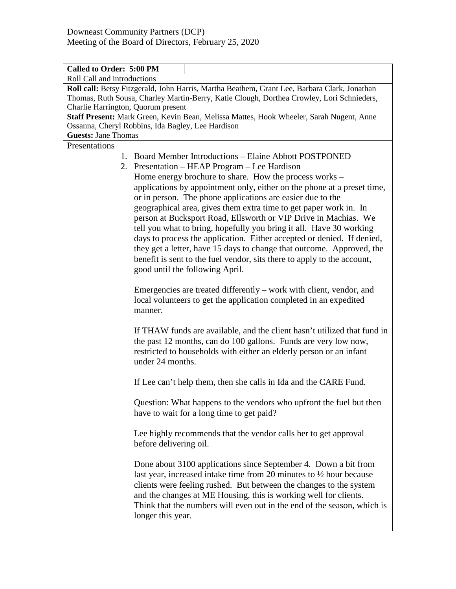| <b>Called to Order: 5:00 PM</b>                   |                                                                                                                                             |                                                                                         |                                                                         |  |  |  |  |
|---------------------------------------------------|---------------------------------------------------------------------------------------------------------------------------------------------|-----------------------------------------------------------------------------------------|-------------------------------------------------------------------------|--|--|--|--|
| Roll Call and introductions                       |                                                                                                                                             |                                                                                         |                                                                         |  |  |  |  |
|                                                   | Roll call: Betsy Fitzgerald, John Harris, Martha Beathem, Grant Lee, Barbara Clark, Jonathan                                                |                                                                                         |                                                                         |  |  |  |  |
|                                                   | Thomas, Ruth Sousa, Charley Martin-Berry, Katie Clough, Dorthea Crowley, Lori Schnieders,                                                   |                                                                                         |                                                                         |  |  |  |  |
|                                                   | Charlie Harrington, Quorum present                                                                                                          |                                                                                         |                                                                         |  |  |  |  |
|                                                   |                                                                                                                                             | Staff Present: Mark Green, Kevin Bean, Melissa Mattes, Hook Wheeler, Sarah Nugent, Anne |                                                                         |  |  |  |  |
| Ossanna, Cheryl Robbins, Ida Bagley, Lee Hardison |                                                                                                                                             |                                                                                         |                                                                         |  |  |  |  |
|                                                   | <b>Guests: Jane Thomas</b>                                                                                                                  |                                                                                         |                                                                         |  |  |  |  |
| Presentations                                     |                                                                                                                                             |                                                                                         |                                                                         |  |  |  |  |
|                                                   |                                                                                                                                             | 1. Board Member Introductions – Elaine Abbott POSTPONED                                 |                                                                         |  |  |  |  |
|                                                   | 2. Presentation – HEAP Program – Lee Hardison                                                                                               |                                                                                         |                                                                         |  |  |  |  |
|                                                   | Home energy brochure to share. How the process works –                                                                                      |                                                                                         |                                                                         |  |  |  |  |
|                                                   | applications by appointment only, either on the phone at a preset time,                                                                     |                                                                                         |                                                                         |  |  |  |  |
|                                                   | or in person. The phone applications are easier due to the                                                                                  |                                                                                         |                                                                         |  |  |  |  |
|                                                   |                                                                                                                                             |                                                                                         |                                                                         |  |  |  |  |
|                                                   | geographical area, gives them extra time to get paper work in. In<br>person at Bucksport Road, Ellsworth or VIP Drive in Machias. We        |                                                                                         |                                                                         |  |  |  |  |
|                                                   |                                                                                                                                             |                                                                                         |                                                                         |  |  |  |  |
|                                                   |                                                                                                                                             | tell you what to bring, hopefully you bring it all. Have 30 working                     |                                                                         |  |  |  |  |
|                                                   |                                                                                                                                             | days to process the application. Either accepted or denied. If denied,                  |                                                                         |  |  |  |  |
|                                                   | they get a letter, have 15 days to change that outcome. Approved, the                                                                       |                                                                                         |                                                                         |  |  |  |  |
|                                                   | benefit is sent to the fuel vendor, sits there to apply to the account,                                                                     |                                                                                         |                                                                         |  |  |  |  |
|                                                   | good until the following April.                                                                                                             |                                                                                         |                                                                         |  |  |  |  |
|                                                   |                                                                                                                                             |                                                                                         |                                                                         |  |  |  |  |
|                                                   |                                                                                                                                             | Emergencies are treated differently – work with client, vendor, and                     |                                                                         |  |  |  |  |
|                                                   |                                                                                                                                             | local volunteers to get the application completed in an expedited                       |                                                                         |  |  |  |  |
|                                                   | manner.                                                                                                                                     |                                                                                         |                                                                         |  |  |  |  |
|                                                   |                                                                                                                                             |                                                                                         |                                                                         |  |  |  |  |
|                                                   |                                                                                                                                             |                                                                                         |                                                                         |  |  |  |  |
|                                                   | If THAW funds are available, and the client hasn't utilized that fund in<br>the past 12 months, can do 100 gallons. Funds are very low now, |                                                                                         |                                                                         |  |  |  |  |
|                                                   |                                                                                                                                             |                                                                                         |                                                                         |  |  |  |  |
|                                                   | restricted to households with either an elderly person or an infant                                                                         |                                                                                         |                                                                         |  |  |  |  |
|                                                   | under 24 months.                                                                                                                            |                                                                                         |                                                                         |  |  |  |  |
|                                                   |                                                                                                                                             |                                                                                         |                                                                         |  |  |  |  |
|                                                   | If Lee can't help them, then she calls in Ida and the CARE Fund.                                                                            |                                                                                         |                                                                         |  |  |  |  |
|                                                   | Question: What happens to the vendors who upfront the fuel but then                                                                         |                                                                                         |                                                                         |  |  |  |  |
|                                                   |                                                                                                                                             |                                                                                         |                                                                         |  |  |  |  |
|                                                   | have to wait for a long time to get paid?                                                                                                   |                                                                                         |                                                                         |  |  |  |  |
|                                                   |                                                                                                                                             |                                                                                         |                                                                         |  |  |  |  |
|                                                   | Lee highly recommends that the vendor calls her to get approval                                                                             |                                                                                         |                                                                         |  |  |  |  |
|                                                   | before delivering oil.                                                                                                                      |                                                                                         |                                                                         |  |  |  |  |
|                                                   |                                                                                                                                             |                                                                                         |                                                                         |  |  |  |  |
|                                                   |                                                                                                                                             | Done about 3100 applications since September 4. Down a bit from                         |                                                                         |  |  |  |  |
|                                                   | last year, increased intake time from 20 minutes to $\frac{1}{2}$ hour because                                                              |                                                                                         |                                                                         |  |  |  |  |
|                                                   |                                                                                                                                             | clients were feeling rushed. But between the changes to the system                      |                                                                         |  |  |  |  |
|                                                   |                                                                                                                                             | and the changes at ME Housing, this is working well for clients.                        |                                                                         |  |  |  |  |
|                                                   |                                                                                                                                             |                                                                                         | Think that the numbers will even out in the end of the season, which is |  |  |  |  |
|                                                   |                                                                                                                                             |                                                                                         |                                                                         |  |  |  |  |
|                                                   | longer this year.                                                                                                                           |                                                                                         |                                                                         |  |  |  |  |
|                                                   |                                                                                                                                             |                                                                                         |                                                                         |  |  |  |  |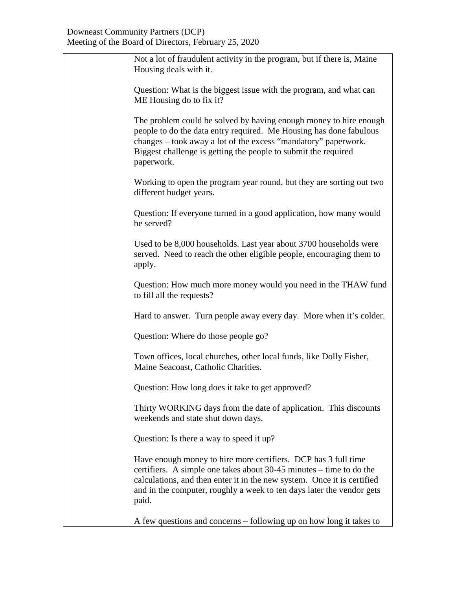| Not a lot of fraudulent activity in the program, but if there is, Maine<br>Housing deals with it.                                                                                                                                                                                                    |
|------------------------------------------------------------------------------------------------------------------------------------------------------------------------------------------------------------------------------------------------------------------------------------------------------|
| Question: What is the biggest issue with the program, and what can<br>ME Housing do to fix it?                                                                                                                                                                                                       |
| The problem could be solved by having enough money to hire enough<br>people to do the data entry required. Me Housing has done fabulous<br>changes - took away a lot of the excess "mandatory" paperwork.<br>Biggest challenge is getting the people to submit the required<br>paperwork.            |
| Working to open the program year round, but they are sorting out two<br>different budget years.                                                                                                                                                                                                      |
| Question: If everyone turned in a good application, how many would<br>be served?                                                                                                                                                                                                                     |
| Used to be 8,000 households. Last year about 3700 households were<br>served. Need to reach the other eligible people, encouraging them to<br>apply.                                                                                                                                                  |
| Question: How much more money would you need in the THAW fund<br>to fill all the requests?                                                                                                                                                                                                           |
| Hard to answer. Turn people away every day. More when it's colder.                                                                                                                                                                                                                                   |
| Question: Where do those people go?                                                                                                                                                                                                                                                                  |
| Town offices, local churches, other local funds, like Dolly Fisher,<br>Maine Seacoast, Catholic Charities.                                                                                                                                                                                           |
| Question: How long does it take to get approved?                                                                                                                                                                                                                                                     |
| Thirty WORKING days from the date of application. This discounts<br>weekends and state shut down days.                                                                                                                                                                                               |
| Question: Is there a way to speed it up?                                                                                                                                                                                                                                                             |
| Have enough money to hire more certifiers. DCP has 3 full time<br>certifiers. A simple one takes about $30-45$ minutes – time to do the<br>calculations, and then enter it in the new system. Once it is certified<br>and in the computer, roughly a week to ten days later the vendor gets<br>paid. |
| A few questions and concerns – following up on how long it takes to                                                                                                                                                                                                                                  |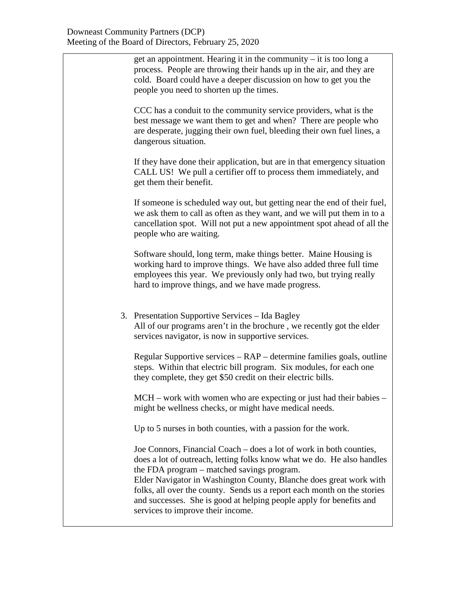get an appointment. Hearing it in the community – it is too long a process. People are throwing their hands up in the air, and they are cold. Board could have a deeper discussion on how to get you the people you need to shorten up the times.

CCC has a conduit to the community service providers, what is the best message we want them to get and when? There are people who are desperate, jugging their own fuel, bleeding their own fuel lines, a dangerous situation.

If they have done their application, but are in that emergency situation CALL US! We pull a certifier off to process them immediately, and get them their benefit.

If someone is scheduled way out, but getting near the end of their fuel, we ask them to call as often as they want, and we will put them in to a cancellation spot. Will not put a new appointment spot ahead of all the people who are waiting.

Software should, long term, make things better. Maine Housing is working hard to improve things. We have also added three full time employees this year. We previously only had two, but trying really hard to improve things, and we have made progress.

3. Presentation Supportive Services – Ida Bagley All of our programs aren't in the brochure , we recently got the elder services navigator, is now in supportive services.

Regular Supportive services – RAP – determine families goals, outline steps. Within that electric bill program. Six modules, for each one they complete, they get \$50 credit on their electric bills.

MCH – work with women who are expecting or just had their babies – might be wellness checks, or might have medical needs.

Up to 5 nurses in both counties, with a passion for the work.

Joe Connors, Financial Coach – does a lot of work in both counties, does a lot of outreach, letting folks know what we do. He also handles the FDA program – matched savings program.

Elder Navigator in Washington County, Blanche does great work with folks, all over the county. Sends us a report each month on the stories and successes. She is good at helping people apply for benefits and services to improve their income.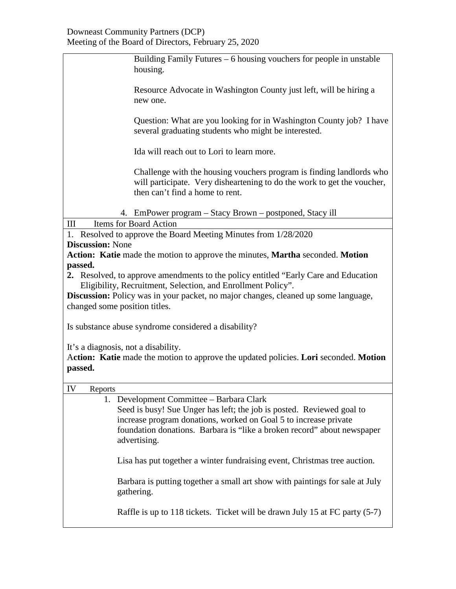Building Family Futures – 6 housing vouchers for people in unstable housing.

Resource Advocate in Washington County just left, will be hiring a new one.

Question: What are you looking for in Washington County job? I have several graduating students who might be interested.

Ida will reach out to Lori to learn more.

Challenge with the housing vouchers program is finding landlords who will participate. Very disheartening to do the work to get the voucher, then can't find a home to rent.

4. EmPower program – Stacy Brown – postponed, Stacy ill

III Items for Board Action

1. Resolved to approve the Board Meeting Minutes from 1/28/2020

**Discussion:** None

**Action: Katie** made the motion to approve the minutes, **Martha** seconded. **Motion passed.**

**2.** Resolved, to approve amendments to the policy entitled "Early Care and Education Eligibility, Recruitment, Selection, and Enrollment Policy".

**Discussion:** Policy was in your packet, no major changes, cleaned up some language, changed some position titles.

Is substance abuse syndrome considered a disability?

It's a diagnosis, not a disability.

A**ction: Katie** made the motion to approve the updated policies. **Lori** seconded. **Motion passed.**

IV Reports

| 1. Development Committee – Barbara Clark<br>Seed is busy! Sue Unger has left; the job is posted. Reviewed goal to<br>increase program donations, worked on Goal 5 to increase private<br>foundation donations. Barbara is "like a broken record" about newspaper<br>advertising. |                                                                                            |  |
|----------------------------------------------------------------------------------------------------------------------------------------------------------------------------------------------------------------------------------------------------------------------------------|--------------------------------------------------------------------------------------------|--|
|                                                                                                                                                                                                                                                                                  | Lisa has put together a winter fundraising event, Christmas tree auction.                  |  |
|                                                                                                                                                                                                                                                                                  | Barbara is putting together a small art show with paintings for sale at July<br>gathering. |  |
|                                                                                                                                                                                                                                                                                  | Raffle is up to 118 tickets. Ticket will be drawn July 15 at FC party (5-7)                |  |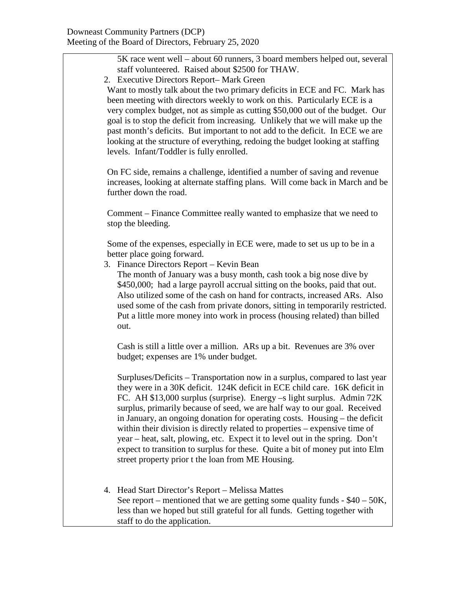5K race went well – about 60 runners, 3 board members helped out, several staff volunteered. Raised about \$2500 for THAW.

2. Executive Directors Report– Mark Green

Want to mostly talk about the two primary deficits in ECE and FC. Mark has been meeting with directors weekly to work on this. Particularly ECE is a very complex budget, not as simple as cutting \$50,000 out of the budget. Our goal is to stop the deficit from increasing. Unlikely that we will make up the past month's deficits. But important to not add to the deficit. In ECE we are looking at the structure of everything, redoing the budget looking at staffing levels. Infant/Toddler is fully enrolled.

On FC side, remains a challenge, identified a number of saving and revenue increases, looking at alternate staffing plans. Will come back in March and be further down the road.

Comment – Finance Committee really wanted to emphasize that we need to stop the bleeding.

Some of the expenses, especially in ECE were, made to set us up to be in a better place going forward.

3. Finance Directors Report – Kevin Bean

The month of January was a busy month, cash took a big nose dive by \$450,000; had a large payroll accrual sitting on the books, paid that out. Also utilized some of the cash on hand for contracts, increased ARs. Also used some of the cash from private donors, sitting in temporarily restricted. Put a little more money into work in process (housing related) than billed out.

Cash is still a little over a million. ARs up a bit. Revenues are 3% over budget; expenses are 1% under budget.

Surpluses/Deficits – Transportation now in a surplus, compared to last year they were in a 30K deficit. 124K deficit in ECE child care. 16K deficit in FC. AH \$13,000 surplus (surprise). Energy –s light surplus. Admin 72K surplus, primarily because of seed, we are half way to our goal. Received in January, an ongoing donation for operating costs. Housing – the deficit within their division is directly related to properties – expensive time of year – heat, salt, plowing, etc. Expect it to level out in the spring. Don't expect to transition to surplus for these. Quite a bit of money put into Elm street property prior t the loan from ME Housing.

4. Head Start Director's Report – Melissa Mattes See report – mentioned that we are getting some quality funds  $-$  \$40 – 50K, less than we hoped but still grateful for all funds. Getting together with staff to do the application.